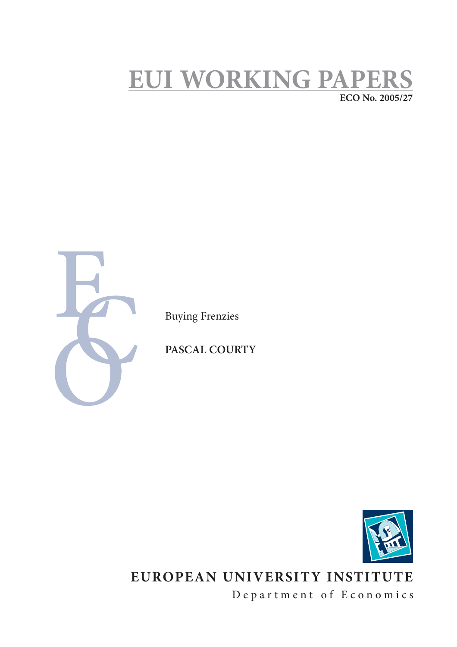# **EUI WORKING PAPERS ECO No. 2005/27**



Buying Frenzies

**PASCAL COURTY**



## **EUROPEAN UNIVERSITY INSTITUTE**

Department of Economics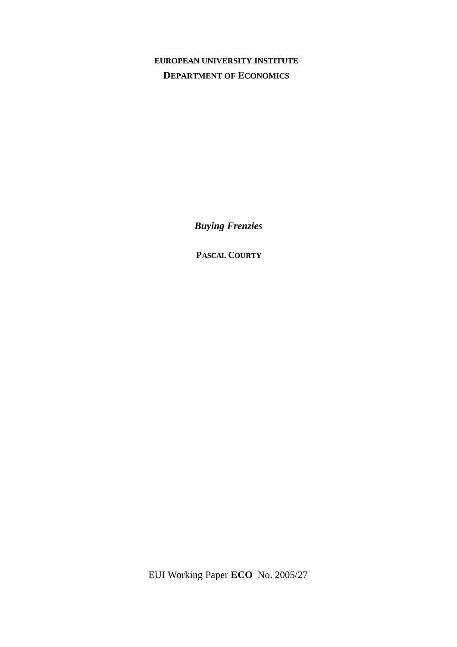## **EUROPEAN UNIVERSITY INSTITUTE DEPARTMENT OF ECONOMICS**

*Buying Frenzies*

**PASCAL COURTY**

EUI Working Paper **ECO** No. 2005/27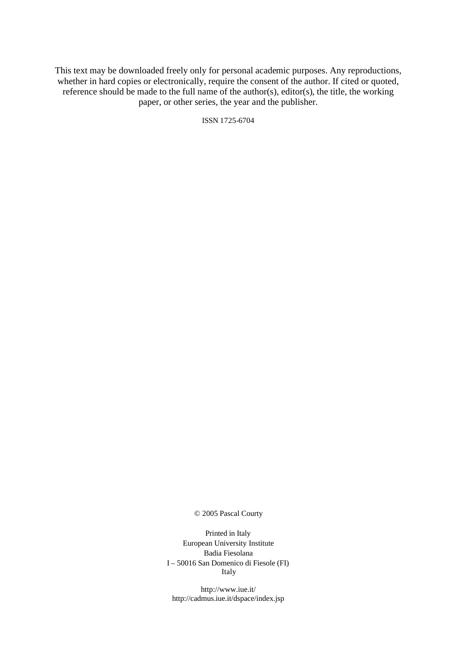This text may be downloaded freely only for personal academic purposes. Any reproductions, whether in hard copies or electronically, require the consent of the author. If cited or quoted, reference should be made to the full name of the author(s), editor(s), the title, the working paper, or other series, the year and the publisher.

ISSN 1725-6704

© 2005 Pascal Courty

Printed in Italy European University Institute Badia Fiesolana I – 50016 San Domenico di Fiesole (FI) Italy

http://www.iue.it/ http://cadmus.iue.it/dspace/index.jsp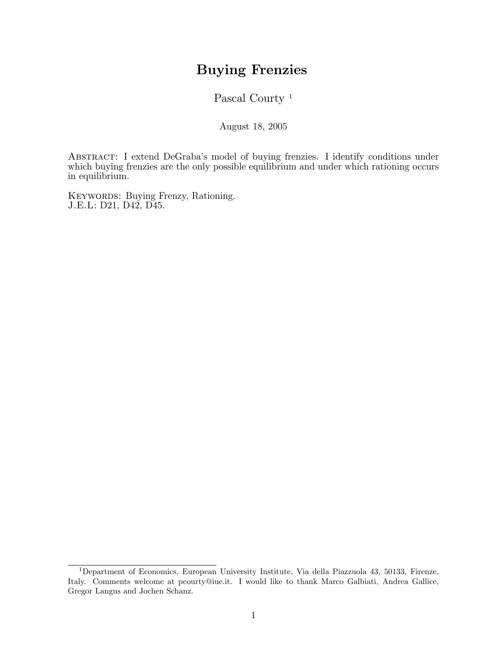## Buying Frenzies

Pascal Courty<sup>1</sup>

August 18, 2005

ABSTRACT: I extend DeGraba's model of buying frenzies. I identify conditions under which buying frenzies are the only possible equilibrium and under which rationing occurs in equilibrium.

KEYWORDS: Buying Frenzy, Rationing. J.E.L: D21, D42, D45.

<sup>1</sup>Department of Economics, European University Institute, Via della Piazzuola 43, 50133, Firenze, Italy. Comments welcome at pcourty@iue.it. I would like to thank Marco Galbiati, Andrea Gallice, Gregor Langus and Jochen Schanz.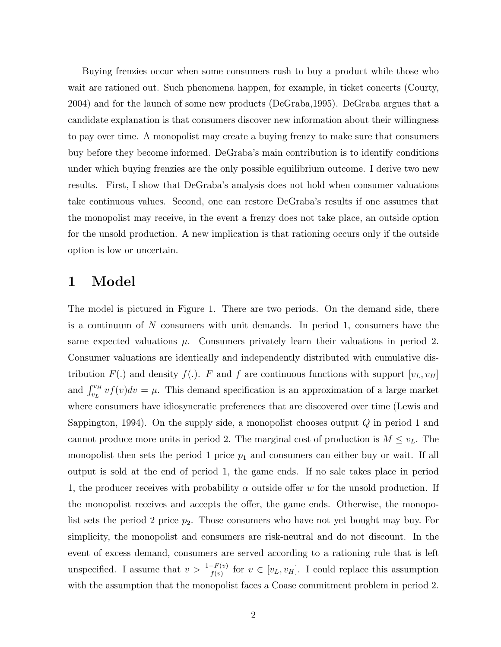Buying frenzies occur when some consumers rush to buy a product while those who wait are rationed out. Such phenomena happen, for example, in ticket concerts (Courty, 2004) and for the launch of some new products (DeGraba,1995). DeGraba argues that a candidate explanation is that consumers discover new information about their willingness to pay over time. A monopolist may create a buying frenzy to make sure that consumers buy before they become informed. DeGraba's main contribution is to identify conditions under which buying frenzies are the only possible equilibrium outcome. I derive two new results. First, I show that DeGraba's analysis does not hold when consumer valuations take continuous values. Second, one can restore DeGraba's results if one assumes that the monopolist may receive, in the event a frenzy does not take place, an outside option for the unsold production. A new implication is that rationing occurs only if the outside option is low or uncertain.

## 1 Model

The model is pictured in Figure 1. There are two periods. On the demand side, there is a continuum of N consumers with unit demands. In period 1, consumers have the same expected valuations  $\mu$ . Consumers privately learn their valuations in period 2. Consumer valuations are identically and independently distributed with cumulative distribution  $F(.)$  and density  $f(.)$ . F and f are continuous functions with support  $[v_L, v_H]$ and  $\int_{v_L}^{v_H} v f(v) dv = \mu$ . This demand specification is an approximation of a large market where consumers have idiosyncratic preferences that are discovered over time (Lewis and Sappington, 1994). On the supply side, a monopolist chooses output  $Q$  in period 1 and cannot produce more units in period 2. The marginal cost of production is  $M \le v_L$ . The monopolist then sets the period 1 price  $p_1$  and consumers can either buy or wait. If all output is sold at the end of period 1, the game ends. If no sale takes place in period 1, the producer receives with probability  $\alpha$  outside offer w for the unsold production. If the monopolist receives and accepts the offer, the game ends. Otherwise, the monopolist sets the period 2 price  $p_2$ . Those consumers who have not yet bought may buy. For simplicity, the monopolist and consumers are risk-neutral and do not discount. In the event of excess demand, consumers are served according to a rationing rule that is left unspecified. I assume that  $v > \frac{1-F(v)}{f(v)}$  for  $v \in [v_L, v_H]$ . I could replace this assumption with the assumption that the monopolist faces a Coase commitment problem in period 2.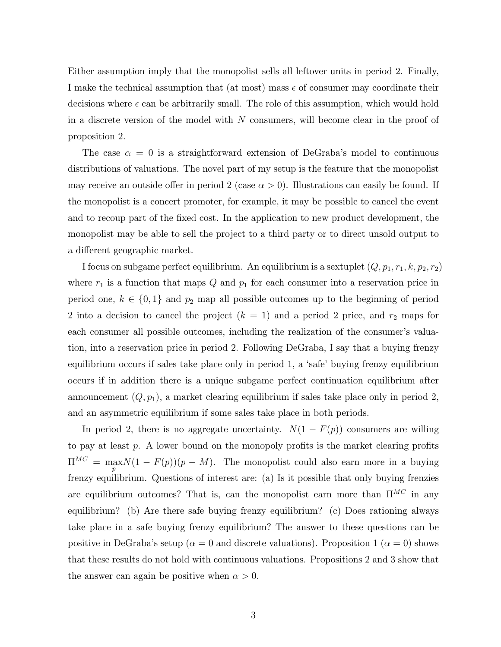Either assumption imply that the monopolist sells all leftover units in period 2. Finally, I make the technical assumption that (at most) mass  $\epsilon$  of consumer may coordinate their decisions where  $\epsilon$  can be arbitrarily small. The role of this assumption, which would hold in a discrete version of the model with  $N$  consumers, will become clear in the proof of proposition 2.

The case  $\alpha = 0$  is a straightforward extension of DeGraba's model to continuous distributions of valuations. The novel part of my setup is the feature that the monopolist may receive an outside offer in period 2 (case  $\alpha > 0$ ). Illustrations can easily be found. If the monopolist is a concert promoter, for example, it may be possible to cancel the event and to recoup part of the fixed cost. In the application to new product development, the monopolist may be able to sell the project to a third party or to direct unsold output to a different geographic market.

I focus on subgame perfect equilibrium. An equilibrium is a sextuplet  $(Q, p_1, r_1, k, p_2, r_2)$ where  $r_1$  is a function that maps Q and  $p_1$  for each consumer into a reservation price in period one,  $k \in \{0, 1\}$  and  $p_2$  map all possible outcomes up to the beginning of period 2 into a decision to cancel the project  $(k = 1)$  and a period 2 price, and  $r_2$  maps for each consumer all possible outcomes, including the realization of the consumer's valuation, into a reservation price in period 2. Following DeGraba, I say that a buying frenzy equilibrium occurs if sales take place only in period 1, a `safe' buying frenzy equilibrium occurs if in addition there is a unique subgame perfect continuation equilibrium after announcement  $(Q, p_1)$ , a market clearing equilibrium if sales take place only in period 2, and an asymmetric equilibrium if some sales take place in both periods.

In period 2, there is no aggregate uncertainty.  $N(1 - F(p))$  consumers are willing to pay at least  $p$ . A lower bound on the monopoly profits is the market clearing profits  $\Pi^{MC} = \max_{p} N(1 - F(p))(p - M)$ . The monopolist could also earn more in a buying frenzy equilibrium. Questions of interest are: (a) Is it possible that only buying frenzies are equilibrium outcomes? That is, can the monopolist earn more than  $\Pi^{MC}$  in any equilibrium? (b) Are there safe buying frenzy equilibrium? (c) Does rationing always take place in a safe buying frenzy equilibrium? The answer to these questions can be positive in DeGraba's setup ( $\alpha = 0$  and discrete valuations). Proposition 1 ( $\alpha = 0$ ) shows that these results do not hold with continuous valuations. Propositions 2 and 3 show that the answer can again be positive when  $\alpha > 0$ .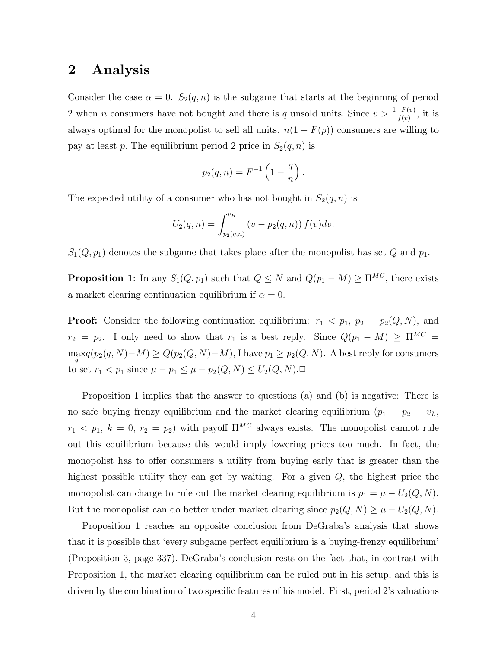### 2 Analysis

Consider the case  $\alpha = 0$ .  $S_2(q, n)$  is the subgame that starts at the beginning of period 2 when *n* consumers have not bought and there is q unsold units. Since  $v > \frac{1-F(v)}{f(v)}$ , it is always optimal for the monopolist to sell all units.  $n(1 - F(p))$  consumers are willing to pay at least p. The equilibrium period 2 price in  $S_2(q, n)$  is

$$
p_2(q, n) = F^{-1} \left( 1 - \frac{q}{n} \right).
$$

The expected utility of a consumer who has not bought in  $S_2(q, n)$  is

$$
U_2(q, n) = \int_{p_2(q, n)}^{v_H} (v - p_2(q, n)) f(v) dv.
$$

 $S_1(Q, p_1)$  denotes the subgame that takes place after the monopolist has set Q and  $p_1$ .

**Proposition 1**: In any  $S_1(Q, p_1)$  such that  $Q \leq N$  and  $Q(p_1 - M) \geq \Pi^{MC}$ , there exists a market clearing continuation equilibrium if  $\alpha = 0$ .

**Proof:** Consider the following continuation equilibrium:  $r_1 < p_1$ ,  $p_2 = p_2(Q, N)$ , and  $r_2 = p_2$ . I only need to show that  $r_1$  is a best reply. Since  $Q(p_1 - M) \ge \Pi^{MC} =$  $\max_q(p_2(q,N)-M) \ge Q(p_2(Q,N)-M)$ , I have  $p_1 \ge p_2(Q,N)$ . A best reply for consumers to set  $r_1 < p_1$  since  $\mu - p_1 \le \mu - p_2(Q, N) \le U_2(Q, N)$ .

Proposition 1 implies that the answer to questions (a) and (b) is negative: There is no safe buying frenzy equilibrium and the market clearing equilibrium  $(p_1 = p_2 = v_L)$ ,  $r_1 < p_1, k = 0, r_2 = p_2$ ) with payoff  $\Pi^{MC}$  always exists. The monopolist cannot rule out this equilibrium because this would imply lowering prices too much. In fact, the monopolist has to offer consumers a utility from buying early that is greater than the highest possible utility they can get by waiting. For a given  $Q$ , the highest price the monopolist can charge to rule out the market clearing equilibrium is  $p_1 = \mu - U_2(Q, N)$ . But the monopolist can do better under market clearing since  $p_2(Q, N) \geq \mu - U_2(Q, N)$ .

Proposition 1 reaches an opposite conclusion from DeGraba's analysis that shows that it is possible that `every subgame perfect equilibrium is a buying-frenzy equilibrium' (Proposition 3, page 337). DeGraba's conclusion rests on the fact that, in contrast with Proposition 1, the market clearing equilibrium can be ruled out in his setup, and this is driven by the combination of two specific features of his model. First, period 2's valuations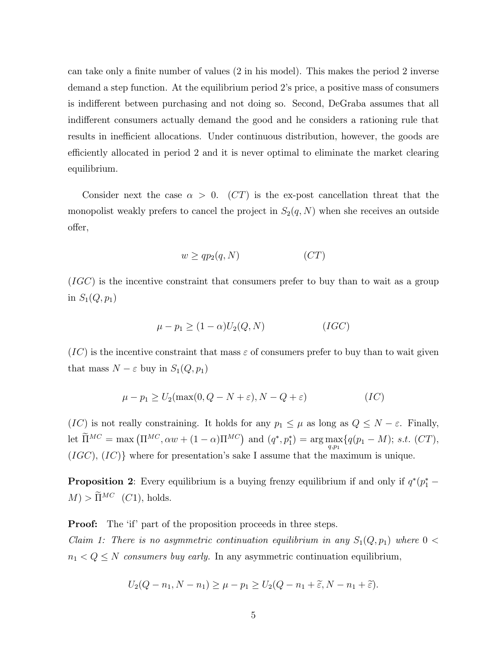can take only a finite number of values  $(2 \text{ in his model})$ . This makes the period  $2 \text{ inverse}$ demand a step function. At the equilibrium period 2's price, a positive mass of consumers is indifferent between purchasing and not doing so. Second, DeGraba assumes that all indifferent consumers actually demand the good and he considers a rationing rule that results in inefficient allocations. Under continuous distribution, however, the goods are efficiently allocated in period 2 and it is never optimal to eliminate the market clearing equilibrium.

Consider next the case  $\alpha > 0$ . (CT) is the ex-post cancellation threat that the monopolist weakly prefers to cancel the project in  $S_2(q, N)$  when she receives an outside offer,

$$
w \ge qp_2(q, N) \tag{CT}
$$

 $(IGC)$  is the incentive constraint that consumers prefer to buy than to wait as a group in  $S_1(Q, p_1)$ 

$$
\mu - p_1 \ge (1 - \alpha)U_2(Q, N) \tag{IGC}
$$

 $(IC)$  is the incentive constraint that mass  $\varepsilon$  of consumers prefer to buy than to wait given that mass  $N - \varepsilon$  buy in  $S_1(Q, p_1)$ 

$$
\mu - p_1 \ge U_2(\max(0, Q - N + \varepsilon), N - Q + \varepsilon)
$$
 (IC)

 $(IC)$  is not really constraining. It holds for any  $p_1 \leq \mu$  as long as  $Q \leq N - \varepsilon$ . Finally, let  $\widetilde{\Pi}^{MC} = \max(\Pi^{MC}, \alpha w + (1 - \alpha)\Pi^{MC})$  and  $(q^*, p_1^*) = \arg \max_{q, p_1} \{q(p_1 - M); s.t. (CT),$  $(IGC), (IC)$  where for presentation's sake I assume that the maximum is unique.

**Proposition 2**: Every equilibrium is a buying frenzy equilibrium if and only if  $q^*(p_1^* - p_2^*)$  $M$ ) >  $\widetilde{\Pi}^{MC}$  (C1), holds.

**Proof:** The 'if' part of the proposition proceeds in three steps.

Claim 1: There is no asymmetric continuation equilibrium in any  $S_1(Q, p_1)$  where  $0 <$  $n_1 < Q \leq N$  consumers buy early. In any asymmetric continuation equilibrium,

$$
U_2(Q - n_1, N - n_1) \ge \mu - p_1 \ge U_2(Q - n_1 + \widetilde{\varepsilon}, N - n_1 + \widetilde{\varepsilon}).
$$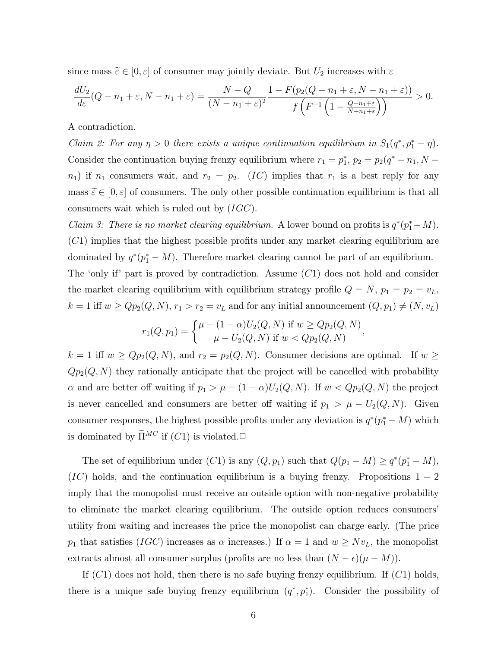since mass  $\widetilde{\varepsilon}\in [0,\varepsilon]$  of consumer may jointly deviate. But  $U_2$  increases with  $\varepsilon$ 

$$
\frac{dU_2}{d\varepsilon}(Q - n_1 + \varepsilon, N - n_1 + \varepsilon) = \frac{N - Q}{(N - n_1 + \varepsilon)^2} \frac{1 - F(p_2(Q - n_1 + \varepsilon, N - n_1 + \varepsilon))}{f\left(F^{-1}\left(1 - \frac{Q - n_1 + \varepsilon}{N - n_1 + \varepsilon}\right)\right)} > 0.
$$

A contradiction.

Claim 2: For any  $\eta > 0$  there exists a unique continuation equilibrium in  $S_1(q^*, p_1^* - \eta)$ . Consider the continuation buying frenzy equilibrium where  $r_1 = p_1^*$ ,  $p_2 = p_2(q^* - n_1, N$  $n_1$ ) if  $n_1$  consumers wait, and  $r_2 = p_2$ . (*IC*) implies that  $r_1$  is a best reply for any mass  $\tilde{\varepsilon} \in [0, \varepsilon]$  of consumers. The only other possible continuation equilibrium is that all consumers wait which is ruled out by  $(IGC)$ .

*Claim 3: There is no market clearing equilibrium.* A lower bound on profits is  $q^*(p_1^* - M)$ .  $(C1)$  implies that the highest possible profits under any market clearing equilibrium are dominated by  $q^*(p_1^* - M)$ . Therefore market clearing cannot be part of an equilibrium. The 'only if' part is proved by contradiction. Assume  $(C1)$  does not hold and consider the market clearing equilibrium with equilibrium strategy profile  $Q = N$ ,  $p_1 = p_2 = v_L$ ,  $k = 1$  iff  $w \ge Qp_2(Q, N), r_1 > r_2 = v_L$  and for any initial announcement  $(Q, p_1) \neq (N, v_L)$ 

$$
r_1(Q, p_1) = \begin{cases} \mu - (1 - \alpha)U_2(Q, N) & \text{if } w \ge Qp_2(Q, N) \\ \mu - U_2(Q, N) & \text{if } w < Qp_2(Q, N) \end{cases}
$$

 $k = 1$  iff  $w \ge Qp_2(Q, N)$ , and  $r_2 = p_2(Q, N)$ . Consumer decisions are optimal. If  $w \ge$  $Qp_2(Q, N)$  they rationally anticipate that the project will be cancelled with probability  $\alpha$  and are better off waiting if  $p_1 > \mu - (1 - \alpha)U_2(Q, N)$ . If  $w < Qp_2(Q, N)$  the project is never cancelled and consumers are better off waiting if  $p_1 > \mu - U_2(Q, N)$ . Given consumer responses, the highest possible profits under any deviation is  $q^*(p_1^* - M)$  which is dominated by  $\widetilde{\Pi}^{MC}$  if  $(C1)$  is violated.

The set of equilibrium under  $(C1)$  is any  $(Q, p_1)$  such that  $Q(p_1 - M) \ge q^*(p_1^* - M)$ ,  $(IC)$  holds, and the continuation equilibrium is a buying frenzy. Propositions  $1 - 2$ imply that the monopolist must receive an outside option with non-negative probability to eliminate the market clearing equilibrium. The outside option reduces consumers' utility from waiting and increases the price the monopolist can charge early. (The price  $p_1$  that satisfies (*IGC*) increases as  $\alpha$  increases.) If  $\alpha = 1$  and  $w \ge Nv_L$ , the monopolist extracts almost all consumer surplus (profits are no less than  $(N - \epsilon)(\mu - M)$ ).

If  $(C1)$  does not hold, then there is no safe buying frenzy equilibrium. If  $(C1)$  holds, there is a unique safe buying frenzy equilibrium  $(q^*, p_1^*)$ . Consider the possibility of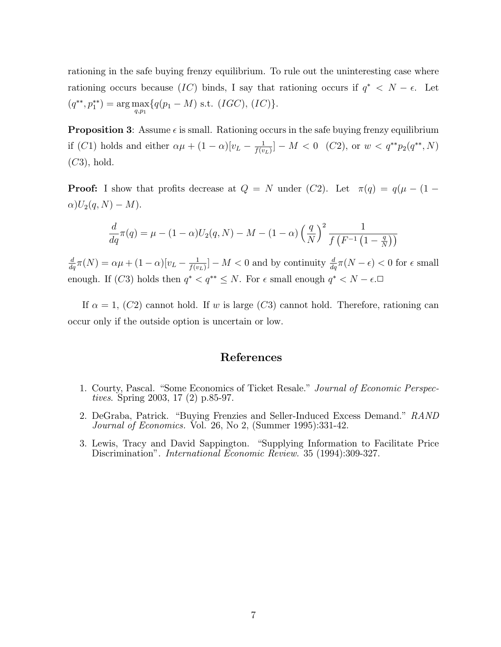rationing in the safe buying frenzy equilibrium. To rule out the uninteresting case where rationing occurs because  $(IC)$  binds, I say that rationing occurs if  $q^* < N - \epsilon$ . Let  $(q^{**}, p_1^{**}) = \arg \max_{q, p_1} \{q(p_1 - M) \text{ s.t. } (IGC), (IC)\}.$ 

**Proposition 3:** Assume  $\epsilon$  is small. Rationing occurs in the safe buying frenzy equilibrium if (C1) holds and either  $\alpha \mu + (1 - \alpha) [v_L - \frac{1}{f(v_L)}]$  $\frac{1}{f(v_L)}] - M < 0 \ \ (C2)$ , or  $w < q^{**} p_2(q^{**}, N)$  $(C3)$ , hold.

**Proof:** I show that profits decrease at  $Q = N$  under  $(C2)$ . Let  $\pi(q) = q(\mu - (1 \alpha)U_2(q, N) - M$ .

$$
\frac{d}{dq}\pi(q) = \mu - (1 - \alpha)U_2(q, N) - M - (1 - \alpha)\left(\frac{q}{N}\right)^2 \frac{1}{f\left(F^{-1}\left(1 - \frac{q}{N}\right)\right)}
$$

 $\frac{d}{dq}\pi(N) = \alpha\mu + (1-\alpha)[v_L - \frac{1}{f(v_L)}]$  $\frac{1}{f(v_L)}]-M < 0$  and by continuity  $\frac{d}{dq}\pi(N-\epsilon) < 0$  for  $\epsilon$  small enough. If  $(C3)$  holds then  $q^* < q^{**} \leq N$ . For  $\epsilon$  small enough  $q^* < N - \epsilon$ .

If  $\alpha = 1$ , (C2) cannot hold. If w is large (C3) cannot hold. Therefore, rationing can occur only if the outside option is uncertain or low.

#### References

- 1. Courty, Pascal. "Some Economics of Ticket Resale." Journal of Economic Perspectives. Spring 2003, 17 (2) p.85-97.
- 2. DeGraba, Patrick. "Buying Frenzies and Seller-Induced Excess Demand." RAND Journal of Economics. Vol. 26, No 2, (Summer 1995):331-42.
- 3. Lewis, Tracy and David Sappington. "Supplying Information to Facilitate Price Discrimination". International Economic Review. 35 (1994):309-327.